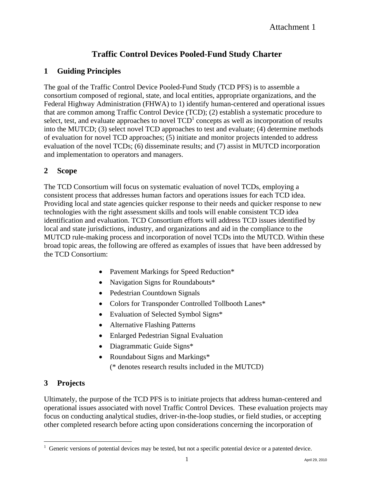# **Traffic Control Devices Pooled-Fund Study Charter**

## **1 Guiding Principles**

The goal of the Traffic Control Device Pooled-Fund Study (TCD PFS) is to assemble a consortium composed of regional, state, and local entities, appropriate organizations, and the Federal Highway Administration (FHWA) to 1) identify human-centered and operational issues that are common among Traffic Control Device (TCD); (2) establish a systematic procedure to select, test, and evaluate approaches to novel  $\text{TCD}^1$  concepts as well as incorporation of results into the MUTCD; (3) select novel TCD approaches to test and evaluate; (4) determine methods of evaluation for novel TCD approaches; (5) initiate and monitor projects intended to address evaluation of the novel TCDs; (6) disseminate results; and (7) assist in MUTCD incorporation and implementation to operators and managers.

## **2 Scope**

The TCD Consortium will focus on systematic evaluation of novel TCDs, employing a consistent process that addresses human factors and operations issues for each TCD idea. Providing local and state agencies quicker response to their needs and quicker response to new technologies with the right assessment skills and tools will enable consistent TCD idea identification and evaluation. TCD Consortium efforts will address TCD issues identified by local and state jurisdictions, industry, and organizations and aid in the compliance to the MUTCD rule-making process and incorporation of novel TCDs into the MUTCD. Within these broad topic areas, the following are offered as examples of issues that have been addressed by the TCD Consortium:

- Pavement Markings for Speed Reduction\*
- Navigation Signs for Roundabouts\*
- Pedestrian Countdown Signals
- Colors for Transponder Controlled Tollbooth Lanes\*
- Evaluation of Selected Symbol Signs\*
- Alternative Flashing Patterns
- Enlarged Pedestrian Signal Evaluation
- Diagrammatic Guide Signs\*
- Roundabout Signs and Markings\*

(\* denotes research results included in the MUTCD)

## **3 Projects**

 $\overline{a}$ 

Ultimately, the purpose of the TCD PFS is to initiate projects that address human-centered and operational issues associated with novel Traffic Control Devices. These evaluation projects may focus on conducting analytical studies, driver-in-the-loop studies, or field studies, or accepting other completed research before acting upon considerations concerning the incorporation of

 $1$  Generic versions of potential devices may be tested, but not a specific potential device or a patented device.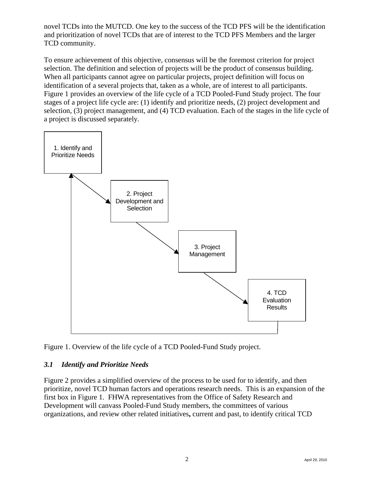novel TCDs into the MUTCD. One key to the success of the TCD PFS will be the identification and prioritization of novel TCDs that are of interest to the TCD PFS Members and the larger TCD community.

To ensure achievement of this objective, consensus will be the foremost criterion for project selection. The definition and selection of projects will be the product of consensus building. When all participants cannot agree on particular projects, project definition will focus on identification of a several projects that, taken as a whole, are of interest to all participants. Figure 1 provides an overview of the life cycle of a TCD Pooled-Fund Study project. The four stages of a project life cycle are: (1) identify and prioritize needs, (2) project development and selection, (3) project management, and (4) TCD evaluation. Each of the stages in the life cycle of a project is discussed separately.



Figure 1. Overview of the life cycle of a TCD Pooled-Fund Study project.

## *3.1 Identify and Prioritize Needs*

Figure 2 provides a simplified overview of the process to be used for to identify, and then prioritize, novel TCD human factors and operations research needs. This is an expansion of the first box in Figure 1. FHWA representatives from the Office of Safety Research and Development will canvass Pooled-Fund Study members, the committees of various organizations, and review other related initiatives**,** current and past, to identify critical TCD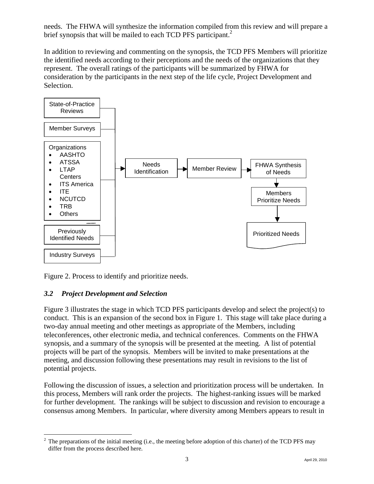needs. The FHWA will synthesize the information compiled from this review and will prepare a brief synopsis that will be mailed to each TCD PFS participant.<sup>2</sup>

In addition to reviewing and commenting on the synopsis, the TCD PFS Members will prioritize the identified needs according to their perceptions and the needs of the organizations that they represent. The overall ratings of the participants will be summarized by FHWA for consideration by the participants in the next step of the life cycle, Project Development and Selection.



Figure 2. Process to identify and prioritize needs.

### *3.2 Project Development and Selection*

Figure 3 illustrates the stage in which TCD PFS participants develop and select the project(s) to conduct. This is an expansion of the second box in Figure 1. This stage will take place during a two-day annual meeting and other meetings as appropriate of the Members, including teleconferences, other electronic media, and technical conferences. Comments on the FHWA synopsis, and a summary of the synopsis will be presented at the meeting. A list of potential projects will be part of the synopsis. Members will be invited to make presentations at the meeting, and discussion following these presentations may result in revisions to the list of potential projects.

Following the discussion of issues, a selection and prioritization process will be undertaken. In this process, Members will rank order the projects. The highest-ranking issues will be marked for further development. The rankings will be subject to discussion and revision to encourage a consensus among Members. In particular, where diversity among Members appears to result in

<sup>&</sup>lt;sup>2</sup> The preparations of the initial meeting (i.e., the meeting before adoption of this charter) of the TCD PFS may differ from the process described here.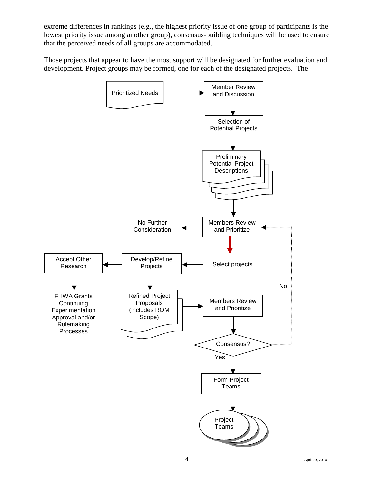extreme differences in rankings (e.g., the highest priority issue of one group of participants is the lowest priority issue among another group), consensus-building techniques will be used to ensure that the perceived needs of all groups are accommodated.

Those projects that appear to have the most support will be designated for further evaluation and development. Project groups may be formed, one for each of the designated projects. The

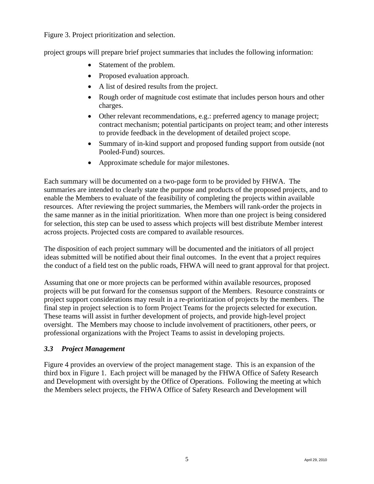Figure 3. Project prioritization and selection.

project groups will prepare brief project summaries that includes the following information:

- Statement of the problem.
- Proposed evaluation approach.
- A list of desired results from the project.
- Rough order of magnitude cost estimate that includes person hours and other charges.
- Other relevant recommendations, e.g.: preferred agency to manage project; contract mechanism; potential participants on project team; and other interests to provide feedback in the development of detailed project scope.
- Summary of in-kind support and proposed funding support from outside (not Pooled-Fund) sources.
- Approximate schedule for major milestones.

Each summary will be documented on a two-page form to be provided by FHWA. The summaries are intended to clearly state the purpose and products of the proposed projects, and to enable the Members to evaluate of the feasibility of completing the projects within available resources. After reviewing the project summaries, the Members will rank-order the projects in the same manner as in the initial prioritization. When more than one project is being considered for selection, this step can be used to assess which projects will best distribute Member interest across projects. Projected costs are compared to available resources.

The disposition of each project summary will be documented and the initiators of all project ideas submitted will be notified about their final outcomes. In the event that a project requires the conduct of a field test on the public roads, FHWA will need to grant approval for that project.

Assuming that one or more projects can be performed within available resources, proposed projects will be put forward for the consensus support of the Members. Resource constraints or project support considerations may result in a re-prioritization of projects by the members. The final step in project selection is to form Project Teams for the projects selected for execution. These teams will assist in further development of projects, and provide high-level project oversight. The Members may choose to include involvement of practitioners, other peers, or professional organizations with the Project Teams to assist in developing projects.

### *3.3 Project Management*

Figure 4 provides an overview of the project management stage. This is an expansion of the third box in Figure 1. Each project will be managed by the FHWA Office of Safety Research and Development with oversight by the Office of Operations. Following the meeting at which the Members select projects, the FHWA Office of Safety Research and Development will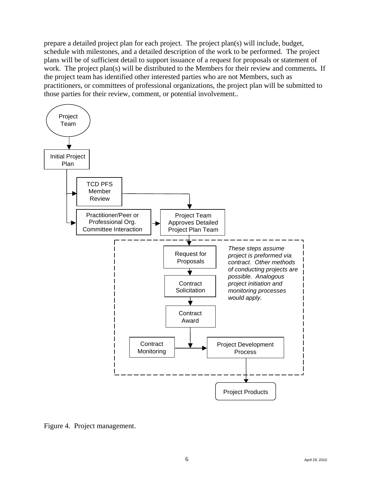prepare a detailed project plan for each project. The project plan(s) will include, budget, schedule with milestones, and a detailed description of the work to be performed. The project plans will be of sufficient detail to support issuance of a request for proposals or statement of work. The project plan(s) will be distributed to the Members for their review and comments**.** If the project team has identified other interested parties who are not Members, such as practitioners, or committees of professional organizations, the project plan will be submitted to those parties for their review, comment, or potential involvement..



Figure 4. Project management.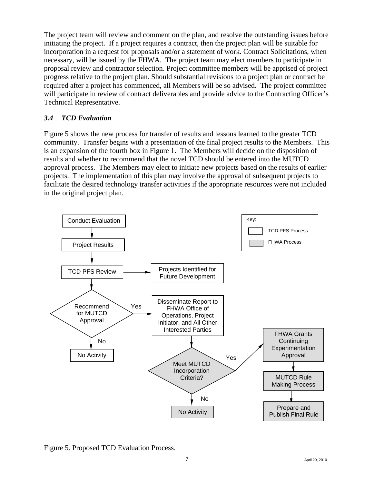The project team will review and comment on the plan, and resolve the outstanding issues before initiating the project. If a project requires a contract, then the project plan will be suitable for incorporation in a request for proposals and/or a statement of work. Contract Solicitations, when necessary, will be issued by the FHWA. The project team may elect members to participate in proposal review and contractor selection. Project committee members will be apprised of project progress relative to the project plan. Should substantial revisions to a project plan or contract be required after a project has commenced, all Members will be so advised. The project committee will participate in review of contract deliverables and provide advice to the Contracting Officer's Technical Representative.

## *3.4 TCD Evaluation*

Figure 5 shows the new process for transfer of results and lessons learned to the greater TCD community. Transfer begins with a presentation of the final project results to the Members. This is an expansion of the fourth box in Figure 1. The Members will decide on the disposition of results and whether to recommend that the novel TCD should be entered into the MUTCD approval process. The Members may elect to initiate new projects based on the results of earlier projects. The implementation of this plan may involve the approval of subsequent projects to facilitate the desired technology transfer activities if the appropriate resources were not included in the original project plan.



Figure 5. Proposed TCD Evaluation Process.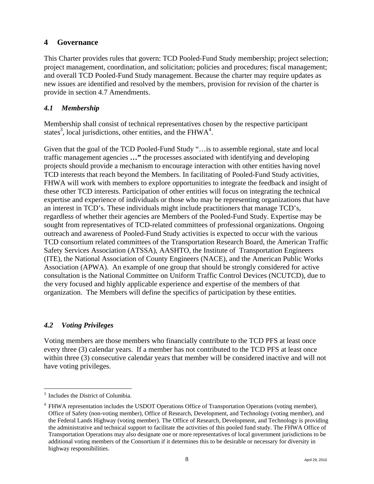## **4 Governance**

This Charter provides rules that govern: TCD Pooled-Fund Study membership; project selection; project management, coordination, and solicitation; policies and procedures; fiscal management; and overall TCD Pooled-Fund Study management. Because the charter may require updates as new issues are identified and resolved by the members, provision for revision of the charter is provide in section 4.7 Amendments.

## *4.1 Membership*

Membership shall consist of technical representatives chosen by the respective participant states<sup>3</sup>, local jurisdictions, other entities, and the FHW $A^4$ .

Given that the goal of the TCD Pooled-Fund Study "…is to assemble regional, state and local traffic management agencies **…"** the processes associated with identifying and developing projects should provide a mechanism to encourage interaction with other entities having novel TCD interests that reach beyond the Members. In facilitating of Pooled-Fund Study activities, FHWA will work with members to explore opportunities to integrate the feedback and insight of these other TCD interests. Participation of other entities will focus on integrating the technical expertise and experience of individuals or those who may be representing organizations that have an interest in TCD's. These individuals might include practitioners that manage TCD's, regardless of whether their agencies are Members of the Pooled-Fund Study. Expertise may be sought from representatives of TCD-related committees of professional organizations. Ongoing outreach and awareness of Pooled-Fund Study activities is expected to occur with the various TCD consortium related committees of the Transportation Research Board, the American Traffic Safety Services Association (ATSSA), AASHTO, the Institute of Transportation Engineers (ITE), the National Association of County Engineers (NACE), and the American Public Works Association (APWA). An example of one group that should be strongly considered for active consultation is the National Committee on Uniform Traffic Control Devices (NCUTCD), due to the very focused and highly applicable experience and expertise of the members of that organization. The Members will define the specifics of participation by these entities.

## *4.2 Voting Privileges*

Voting members are those members who financially contribute to the TCD PFS at least once every three (3) calendar years. If a member has not contributed to the TCD PFS at least once within three (3) consecutive calendar years that member will be considered inactive and will not have voting privileges.

 $\overline{a}$ 

<sup>&</sup>lt;sup>3</sup> Includes the District of Columbia.

<sup>4</sup> FHWA representation includes the USDOT Operations Office of Transportation Operations (voting member), Office of Safety (non-voting member), Office of Research, Development, and Technology (voting member), and the Federal Lands Highway (voting member). The Office of Research, Development, and Technology is providing the administrative and technical support to facilitate the activities of this pooled fund study. The FHWA Office of Transportation Operations may also designate one or more representatives of local government jurisdictions to be additional voting members of the Consortium if it determines this to be desirable or necessary for diversity in highway responsibilities.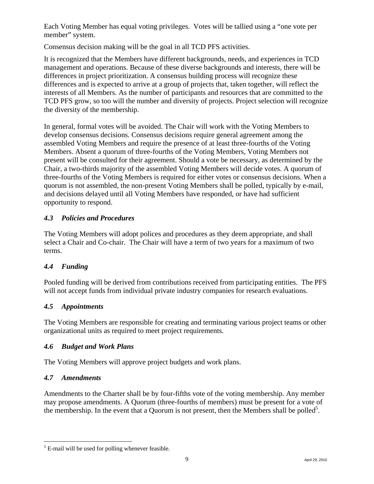Each Voting Member has equal voting privileges. Votes will be tallied using a "one vote per member" system.

Consensus decision making will be the goal in all TCD PFS activities.

It is recognized that the Members have different backgrounds, needs, and experiences in TCD management and operations. Because of these diverse backgrounds and interests, there will be differences in project prioritization. A consensus building process will recognize these differences and is expected to arrive at a group of projects that, taken together, will reflect the interests of all Members. As the number of participants and resources that are committed to the TCD PFS grow, so too will the number and diversity of projects. Project selection will recognize the diversity of the membership.

In general, formal votes will be avoided. The Chair will work with the Voting Members to develop consensus decisions. Consensus decisions require general agreement among the assembled Voting Members and require the presence of at least three-fourths of the Voting Members. Absent a quorum of three-fourths of the Voting Members, Voting Members not present will be consulted for their agreement. Should a vote be necessary, as determined by the Chair, a two-thirds majority of the assembled Voting Members will decide votes. A quorum of three-fourths of the Voting Members is required for either votes or consensus decisions. When a quorum is not assembled, the non-present Voting Members shall be polled, typically by e-mail, and decisions delayed until all Voting Members have responded, or have had sufficient opportunity to respond.

## *4.3 Policies and Procedures*

The Voting Members will adopt polices and procedures as they deem appropriate, and shall select a Chair and Co-chair. The Chair will have a term of two years for a maximum of two terms.

### *4.4 Funding*

Pooled funding will be derived from contributions received from participating entities. The PFS will not accept funds from individual private industry companies for research evaluations.

### *4.5 Appointments*

The Voting Members are responsible for creating and terminating various project teams or other organizational units as required to meet project requirements.

### *4.6 Budget and Work Plans*

The Voting Members will approve project budgets and work plans.

### *4.7 Amendments*

Amendments to the Charter shall be by four-fifths vote of the voting membership. Any member may propose amendments. A Quorum (three-fourths of members) must be present for a vote of the membership. In the event that a Quorum is not present, then the Members shall be polled<sup>5</sup>.

<sup>1</sup>  $<sup>5</sup>$  E-mail will be used for polling whenever feasible.</sup>